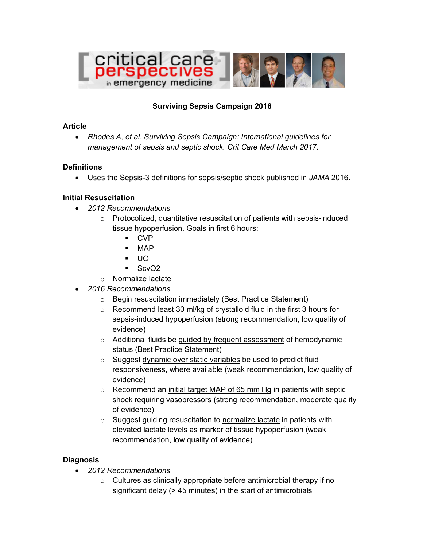

## **Surviving Sepsis Campaign 2016**

#### **Article**

• *Rhodes A, et al. Surviving Sepsis Campaign: International guidelines for management of sepsis and septic shock. Crit Care Med March 2017*.

#### **Definitions**

• Uses the Sepsis-3 definitions for sepsis/septic shock published in *JAMA* 2016.

#### **Initial Resuscitation**

- *2012 Recommendations*
	- o Protocolized, quantitative resuscitation of patients with sepsis-induced tissue hypoperfusion. Goals in first 6 hours:
		- § CVP
		- § MAP
		- § UO
		- ScvO<sub>2</sub>
	- o Normalize lactate
- *2016 Recommendations*
	- o Begin resuscitation immediately (Best Practice Statement)
	- o Recommend least 30 ml/kg of crystalloid fluid in the first 3 hours for sepsis-induced hypoperfusion (strong recommendation, low quality of evidence)
	- o Additional fluids be guided by frequent assessment of hemodynamic status (Best Practice Statement)
	- o Suggest dynamic over static variables be used to predict fluid responsiveness, where available (weak recommendation, low quality of evidence)
	- o Recommend an initial target MAP of 65 mm Hg in patients with septic shock requiring vasopressors (strong recommendation, moderate quality of evidence)
	- o Suggest guiding resuscitation to normalize lactate in patients with elevated lactate levels as marker of tissue hypoperfusion (weak recommendation, low quality of evidence)

#### **Diagnosis**

- *2012 Recommendations*
	- $\circ$  Cultures as clinically appropriate before antimicrobial therapy if no significant delay (> 45 minutes) in the start of antimicrobials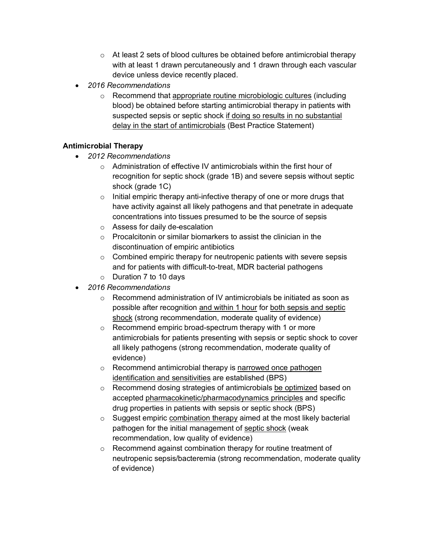- $\circ$  At least 2 sets of blood cultures be obtained before antimicrobial therapy with at least 1 drawn percutaneously and 1 drawn through each vascular device unless device recently placed.
- *2016 Recommendations*
	- o Recommend that appropriate routine microbiologic cultures (including blood) be obtained before starting antimicrobial therapy in patients with suspected sepsis or septic shock if doing so results in no substantial delay in the start of antimicrobials (Best Practice Statement)

# **Antimicrobial Therapy**

- *2012 Recommendations*
	- $\circ$  Administration of effective IV antimicrobials within the first hour of recognition for septic shock (grade 1B) and severe sepsis without septic shock (grade 1C)
	- $\circ$  Initial empiric therapy anti-infective therapy of one or more drugs that have activity against all likely pathogens and that penetrate in adequate concentrations into tissues presumed to be the source of sepsis
	- o Assess for daily de-escalation
	- o Procalcitonin or similar biomarkers to assist the clinician in the discontinuation of empiric antibiotics
	- o Combined empiric therapy for neutropenic patients with severe sepsis and for patients with difficult-to-treat, MDR bacterial pathogens
	- o Duration 7 to 10 days
- *2016 Recommendations*
	- $\circ$  Recommend administration of IV antimicrobials be initiated as soon as possible after recognition and within 1 hour for both sepsis and septic shock (strong recommendation, moderate quality of evidence)
	- o Recommend empiric broad-spectrum therapy with 1 or more antimicrobials for patients presenting with sepsis or septic shock to cover all likely pathogens (strong recommendation, moderate quality of evidence)
	- o Recommend antimicrobial therapy is narrowed once pathogen identification and sensitivities are established (BPS)
	- o Recommend dosing strategies of antimicrobials be optimized based on accepted pharmacokinetic/pharmacodynamics principles and specific drug properties in patients with sepsis or septic shock (BPS)
	- o Suggest empiric combination therapy aimed at the most likely bacterial pathogen for the initial management of septic shock (weak recommendation, low quality of evidence)
	- o Recommend against combination therapy for routine treatment of neutropenic sepsis/bacteremia (strong recommendation, moderate quality of evidence)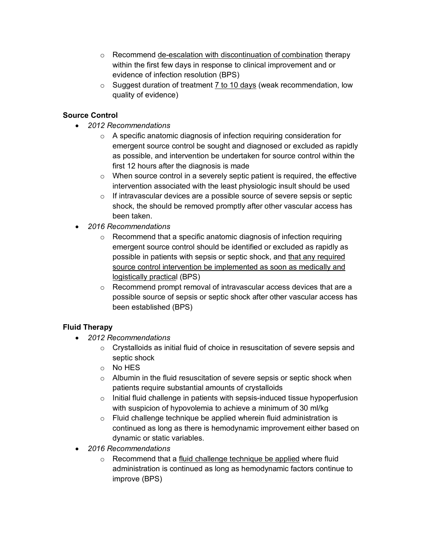- $\circ$  Recommend de-escalation with discontinuation of combination therapy within the first few days in response to clinical improvement and or evidence of infection resolution (BPS)
- o Suggest duration of treatment 7 to 10 days (weak recommendation, low quality of evidence)

# **Source Control**

- *2012 Recommendations*
	- $\circ$  A specific anatomic diagnosis of infection requiring consideration for emergent source control be sought and diagnosed or excluded as rapidly as possible, and intervention be undertaken for source control within the first 12 hours after the diagnosis is made
	- o When source control in a severely septic patient is required, the effective intervention associated with the least physiologic insult should be used
	- o If intravascular devices are a possible source of severe sepsis or septic shock, the should be removed promptly after other vascular access has been taken.
- *2016 Recommendations*
	- $\circ$  Recommend that a specific anatomic diagnosis of infection requiring emergent source control should be identified or excluded as rapidly as possible in patients with sepsis or septic shock, and that any required source control intervention be implemented as soon as medically and logistically practical (BPS)
	- o Recommend prompt removal of intravascular access devices that are a possible source of sepsis or septic shock after other vascular access has been established (BPS)

## **Fluid Therapy**

- *2012 Recommendations*
	- o Crystalloids as initial fluid of choice in resuscitation of severe sepsis and septic shock
	- o No HES
	- o Albumin in the fluid resuscitation of severe sepsis or septic shock when patients require substantial amounts of crystalloids
	- o Initial fluid challenge in patients with sepsis-induced tissue hypoperfusion with suspicion of hypovolemia to achieve a minimum of 30 ml/kg
	- o Fluid challenge technique be applied wherein fluid administration is continued as long as there is hemodynamic improvement either based on dynamic or static variables.
- *2016 Recommendations*
	- o Recommend that a fluid challenge technique be applied where fluid administration is continued as long as hemodynamic factors continue to improve (BPS)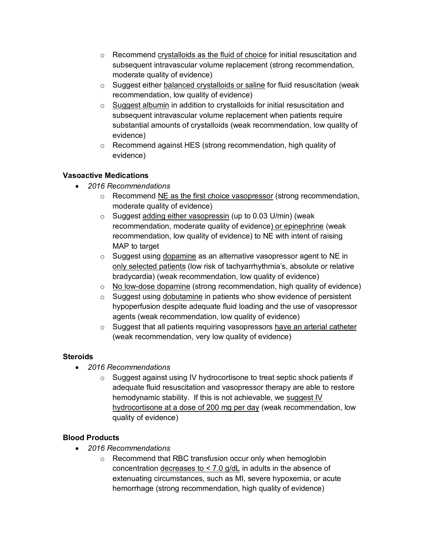- $\circ$  Recommend crystalloids as the fluid of choice for initial resuscitation and subsequent intravascular volume replacement (strong recommendation, moderate quality of evidence)
- $\circ$  Suggest either balanced crystalloids or saline for fluid resuscitation (weak) recommendation, low quality of evidence)
- $\circ$  Suggest albumin in addition to crystalloids for initial resuscitation and subsequent intravascular volume replacement when patients require substantial amounts of crystalloids (weak recommendation, low quality of evidence)
- o Recommend against HES (strong recommendation, high quality of evidence)

#### **Vasoactive Medications**

- *2016 Recommendations*
	- $\circ$  Recommend NE as the first choice vasopressor (strong recommendation, moderate quality of evidence)
	- o Suggest adding either vasopressin (up to 0.03 U/min) (weak recommendation, moderate quality of evidence) or epinephrine (weak recommendation, low quality of evidence) to NE with intent of raising MAP to target
	- $\circ$  Suggest using dopamine as an alternative vasopressor agent to NE in only selected patients (low risk of tachyarrhythmia's, absolute or relative bradycardia) (weak recommendation, low quality of evidence)
	- o No low-dose dopamine (strong recommendation, high quality of evidence)
	- o Suggest using dobutamine in patients who show evidence of persistent hypoperfusion despite adequate fluid loading and the use of vasopressor agents (weak recommendation, low quality of evidence)
	- o Suggest that all patients requiring vasopressors have an arterial catheter (weak recommendation, very low quality of evidence)

## **Steroids**

- *2016 Recommendations*
	- o Suggest against using IV hydrocortisone to treat septic shock patients if adequate fluid resuscitation and vasopressor therapy are able to restore hemodynamic stability. If this is not achievable, we suggest IV hydrocortisone at a dose of 200 mg per day (weak recommendation, low quality of evidence)

## **Blood Products**

- *2016 Recommendations*
	- o Recommend that RBC transfusion occur only when hemoglobin concentration decreases to < 7.0 g/dL in adults in the absence of extenuating circumstances, such as MI, severe hypoxemia, or acute hemorrhage (strong recommendation, high quality of evidence)